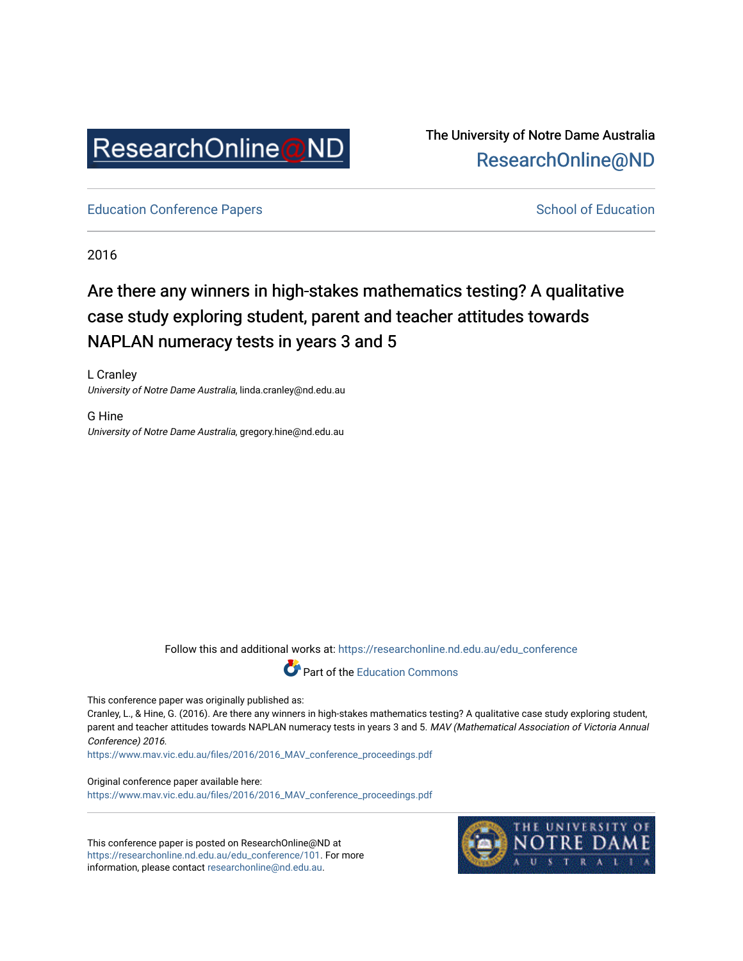

The University of Notre Dame Australia [ResearchOnline@ND](https://researchonline.nd.edu.au/) 

[Education Conference Papers](https://researchonline.nd.edu.au/edu_conference) **School of Education** School of Education

2016

## Are there any winners in high-stakes mathematics testing? A qualitative case study exploring student, parent and teacher attitudes towards NAPLAN numeracy tests in years 3 and 5

L Cranley University of Notre Dame Australia, linda.cranley@nd.edu.au

G Hine University of Notre Dame Australia, gregory.hine@nd.edu.au

Follow this and additional works at: [https://researchonline.nd.edu.au/edu\\_conference](https://researchonline.nd.edu.au/edu_conference?utm_source=researchonline.nd.edu.au%2Fedu_conference%2F101&utm_medium=PDF&utm_campaign=PDFCoverPages)



This conference paper was originally published as:

Cranley, L., & Hine, G. (2016). Are there any winners in high-stakes mathematics testing? A qualitative case study exploring student, parent and teacher attitudes towards NAPLAN numeracy tests in years 3 and 5. MAV (Mathematical Association of Victoria Annual Conference) 2016.

[https://www.mav.vic.edu.au/files/2016/2016\\_MAV\\_conference\\_proceedings.pdf](https://www.mav.vic.edu.au/files/2016/2016_MAV_conference_proceedings.pdf)

Original conference paper available here:

[https://www.mav.vic.edu.au/files/2016/2016\\_MAV\\_conference\\_proceedings.pdf](https://www.mav.vic.edu.au/files/2016/2016_MAV_conference_proceedings.pdf)

This conference paper is posted on ResearchOnline@ND at [https://researchonline.nd.edu.au/edu\\_conference/101](https://researchonline.nd.edu.au/edu_conference/101). For more information, please contact [researchonline@nd.edu.au.](mailto:researchonline@nd.edu.au)

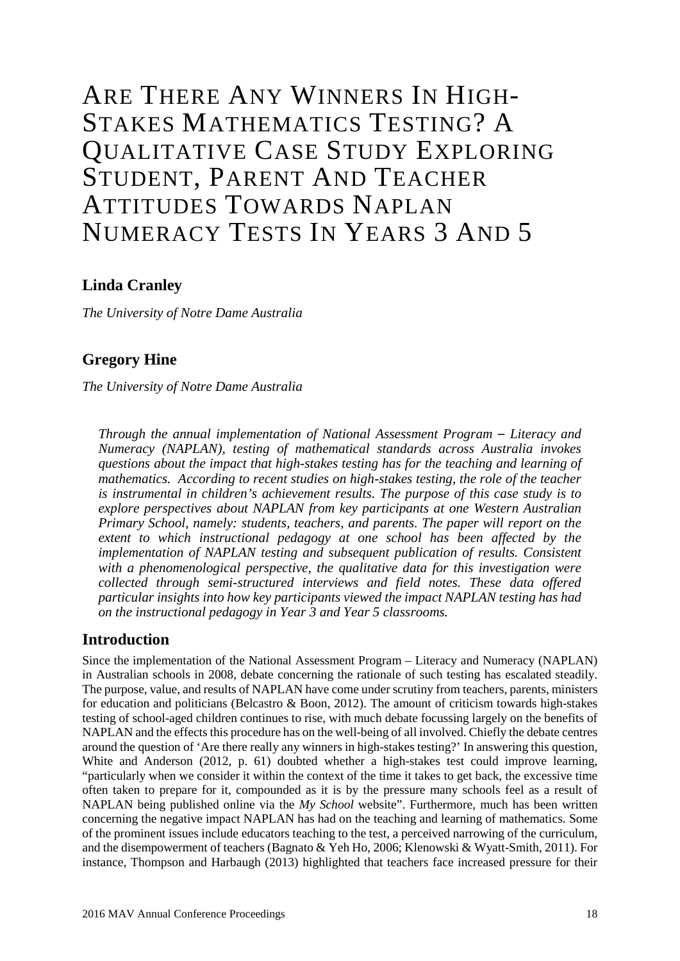# ARE THERE ANY WINNERS IN HIGH-STAKES MATHEMATICS TESTING? A QUALITATIVE CASE STUDY EXPLORING STUDENT, PARENT AND TEACHER ATTITUDES TOWARDS NAPLAN NUMERACY TESTS IN YEARS 3 AND 5

## **Linda Cranley**

*The University of Notre Dame Australia*

## **Gregory Hine**

*The University of Notre Dame Australia*

*Through the annual implementation of National Assessment Program – Literacy and Numeracy (NAPLAN), testing of mathematical standards across Australia invokes questions about the impact that high-stakes testing has for the teaching and learning of mathematics. According to recent studies on high-stakes testing, the role of the teacher is instrumental in children's achievement results. The purpose of this case study is to explore perspectives about NAPLAN from key participants at one Western Australian Primary School, namely: students, teachers, and parents. The paper will report on the extent to which instructional pedagogy at one school has been affected by the implementation of NAPLAN testing and subsequent publication of results. Consistent with a phenomenological perspective, the qualitative data for this investigation were collected through semi-structured interviews and field notes. These data offered particular insights into how key participants viewed the impact NAPLAN testing has had on the instructional pedagogy in Year 3 and Year 5 classrooms.*

#### **Introduction**

Since the implementation of the National Assessment Program – Literacy and Numeracy (NAPLAN) in Australian schools in 2008, debate concerning the rationale of such testing has escalated steadily. The purpose, value, and results of NAPLAN have come under scrutiny from teachers, parents, ministers for education and politicians (Belcastro & Boon, 2012). The amount of criticism towards high-stakes testing of school-aged children continues to rise, with much debate focussing largely on the benefits of NAPLAN and the effects this procedure has on the well-being of all involved. Chiefly the debate centres around the question of 'Are there really any winners in high-stakes testing?' In answering this question, White and Anderson (2012, p. 61) doubted whether a high-stakes test could improve learning, "particularly when we consider it within the context of the time it takes to get back, the excessive time often taken to prepare for it, compounded as it is by the pressure many schools feel as a result of NAPLAN being published online via the *My School* website". Furthermore, much has been written concerning the negative impact NAPLAN has had on the teaching and learning of mathematics. Some of the prominent issues include educators teaching to the test, a perceived narrowing of the curriculum, and the disempowerment of teachers (Bagnato & Yeh Ho, 2006; Klenowski & Wyatt-Smith, 2011). For instance, Thompson and Harbaugh (2013) highlighted that teachers face increased pressure for their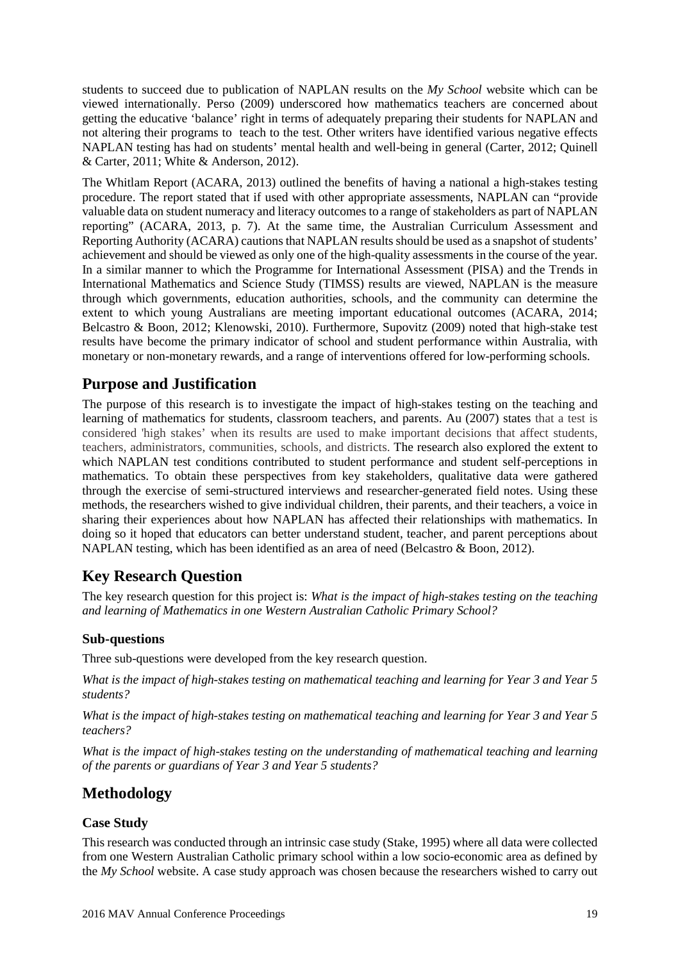students to succeed due to publication of NAPLAN results on the *My School* website which can be viewed internationally. Perso (2009) underscored how mathematics teachers are concerned about getting the educative 'balance' right in terms of adequately preparing their students for NAPLAN and not altering their programs to teach to the test. Other writers have identified various negative effects NAPLAN testing has had on students' mental health and well-being in general (Carter, 2012; Quinell & Carter, 2011; White & Anderson, 2012).

The Whitlam Report (ACARA, 2013) outlined the benefits of having a national a high-stakes testing procedure. The report stated that if used with other appropriate assessments, NAPLAN can "provide valuable data on student numeracy and literacy outcomes to a range of stakeholders as part of NAPLAN reporting" (ACARA, 2013, p. 7). At the same time, the Australian Curriculum Assessment and Reporting Authority (ACARA) cautions that NAPLAN results should be used as a snapshot of students' achievement and should be viewed as only one of the high-quality assessments in the course of the year. In a similar manner to which the Programme for International Assessment (PISA) and the Trends in International Mathematics and Science Study (TIMSS) results are viewed, NAPLAN is the measure through which governments, education authorities, schools, and the community can determine the extent to which young Australians are meeting important educational outcomes (ACARA, 2014; Belcastro & Boon, 2012; Klenowski, 2010). Furthermore, Supovitz (2009) noted that high-stake test results have become the primary indicator of school and student performance within Australia, with monetary or non-monetary rewards, and a range of interventions offered for low-performing schools.

## **Purpose and Justification**

The purpose of this research is to investigate the impact of high-stakes testing on the teaching and learning of mathematics for students, classroom teachers, and parents. Au (2007) states that a test is considered 'high stakes' when its results are used to make important decisions that affect students, teachers, administrators, communities, schools, and districts. The research also explored the extent to which NAPLAN test conditions contributed to student performance and student self-perceptions in mathematics. To obtain these perspectives from key stakeholders, qualitative data were gathered through the exercise of semi-structured interviews and researcher-generated field notes. Using these methods, the researchers wished to give individual children, their parents, and their teachers, a voice in sharing their experiences about how NAPLAN has affected their relationships with mathematics. In doing so it hoped that educators can better understand student, teacher, and parent perceptions about NAPLAN testing, which has been identified as an area of need (Belcastro & Boon, 2012).

## **Key Research Question**

The key research question for this project is: *What is the impact of high-stakes testing on the teaching and learning of Mathematics in one Western Australian Catholic Primary School?*

#### **Sub-questions**

Three sub-questions were developed from the key research question.

*What is the impact of high-stakes testing on mathematical teaching and learning for Year 3 and Year 5 students?*

*What is the impact of high-stakes testing on mathematical teaching and learning for Year 3 and Year 5 teachers?*

*What is the impact of high-stakes testing on the understanding of mathematical teaching and learning of the parents or guardians of Year 3 and Year 5 students?*

## **Methodology**

#### **Case Study**

This research was conducted through an intrinsic case study (Stake, 1995) where all data were collected from one Western Australian Catholic primary school within a low socio-economic area as defined by the *My School* website. A case study approach was chosen because the researchers wished to carry out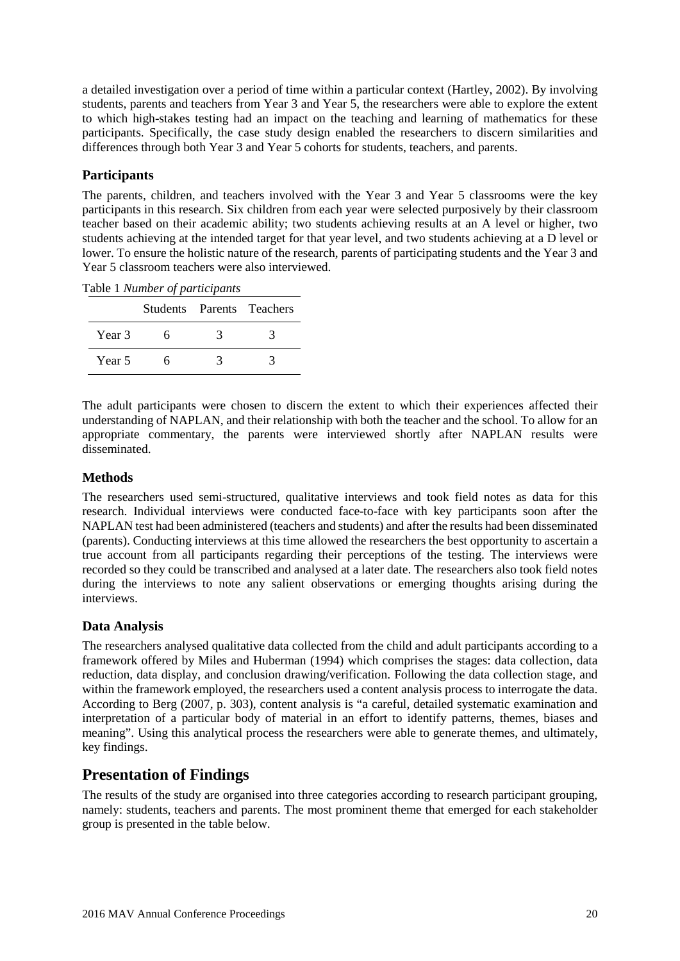a detailed investigation over a period of time within a particular context (Hartley, 2002). By involving students, parents and teachers from Year 3 and Year 5, the researchers were able to explore the extent to which high-stakes testing had an impact on the teaching and learning of mathematics for these participants. Specifically, the case study design enabled the researchers to discern similarities and differences through both Year 3 and Year 5 cohorts for students, teachers, and parents.

#### **Participants**

The parents, children, and teachers involved with the Year 3 and Year 5 classrooms were the key participants in this research. Six children from each year were selected purposively by their classroom teacher based on their academic ability; two students achieving results at an A level or higher, two students achieving at the intended target for that year level, and two students achieving at a D level or lower. To ensure the holistic nature of the research, parents of participating students and the Year 3 and Year 5 classroom teachers were also interviewed.

|  | Table 1 Number of participants |  |
|--|--------------------------------|--|
|  |                                |  |

|        |  | Students Parents Teachers |
|--------|--|---------------------------|
| Year 3 |  |                           |
| Year 5 |  |                           |

The adult participants were chosen to discern the extent to which their experiences affected their understanding of NAPLAN, and their relationship with both the teacher and the school. To allow for an appropriate commentary, the parents were interviewed shortly after NAPLAN results were disseminated.

#### **Methods**

The researchers used semi-structured, qualitative interviews and took field notes as data for this research. Individual interviews were conducted face-to-face with key participants soon after the NAPLAN test had been administered (teachers and students) and after the results had been disseminated (parents). Conducting interviews at this time allowed the researchers the best opportunity to ascertain a true account from all participants regarding their perceptions of the testing. The interviews were recorded so they could be transcribed and analysed at a later date. The researchers also took field notes during the interviews to note any salient observations or emerging thoughts arising during the interviews.

#### **Data Analysis**

The researchers analysed qualitative data collected from the child and adult participants according to a framework offered by Miles and Huberman (1994) which comprises the stages: data collection, data reduction, data display, and conclusion drawing/verification. Following the data collection stage, and within the framework employed, the researchers used a content analysis process to interrogate the data. According to Berg (2007, p. 303), content analysis is "a careful, detailed systematic examination and interpretation of a particular body of material in an effort to identify patterns, themes, biases and meaning". Using this analytical process the researchers were able to generate themes, and ultimately, key findings.

## **Presentation of Findings**

The results of the study are organised into three categories according to research participant grouping, namely: students, teachers and parents. The most prominent theme that emerged for each stakeholder group is presented in the table below.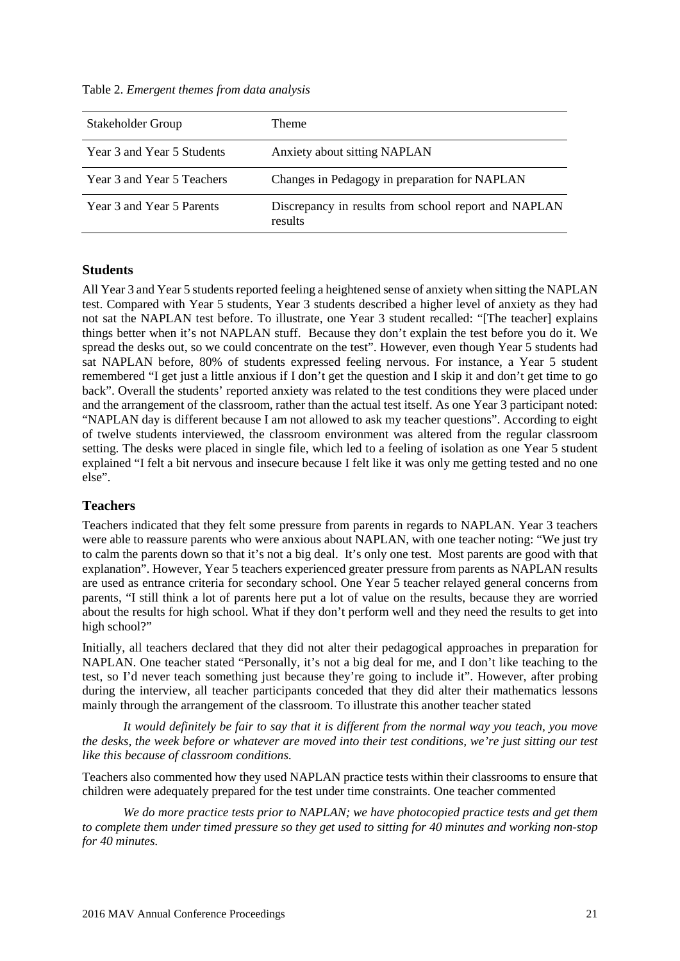Table 2. *Emergent themes from data analysis*

| Stakeholder Group          | Theme                                                           |
|----------------------------|-----------------------------------------------------------------|
| Year 3 and Year 5 Students | Anxiety about sitting NAPLAN                                    |
| Year 3 and Year 5 Teachers | Changes in Pedagogy in preparation for NAPLAN                   |
| Year 3 and Year 5 Parents  | Discrepancy in results from school report and NAPLAN<br>results |

#### **Students**

All Year 3 and Year 5 students reported feeling a heightened sense of anxiety when sitting the NAPLAN test. Compared with Year 5 students, Year 3 students described a higher level of anxiety as they had not sat the NAPLAN test before. To illustrate, one Year 3 student recalled: "[The teacher] explains things better when it's not NAPLAN stuff. Because they don't explain the test before you do it. We spread the desks out, so we could concentrate on the test". However, even though Year 5 students had sat NAPLAN before, 80% of students expressed feeling nervous. For instance, a Year 5 student remembered "I get just a little anxious if I don't get the question and I skip it and don't get time to go back". Overall the students' reported anxiety was related to the test conditions they were placed under and the arrangement of the classroom, rather than the actual test itself. As one Year 3 participant noted: "NAPLAN day is different because I am not allowed to ask my teacher questions". According to eight of twelve students interviewed, the classroom environment was altered from the regular classroom setting. The desks were placed in single file, which led to a feeling of isolation as one Year 5 student explained "I felt a bit nervous and insecure because I felt like it was only me getting tested and no one else".

#### **Teachers**

Teachers indicated that they felt some pressure from parents in regards to NAPLAN. Year 3 teachers were able to reassure parents who were anxious about NAPLAN, with one teacher noting: "We just try to calm the parents down so that it's not a big deal. It's only one test. Most parents are good with that explanation". However, Year 5 teachers experienced greater pressure from parents as NAPLAN results are used as entrance criteria for secondary school. One Year 5 teacher relayed general concerns from parents, "I still think a lot of parents here put a lot of value on the results, because they are worried about the results for high school. What if they don't perform well and they need the results to get into high school?"

Initially, all teachers declared that they did not alter their pedagogical approaches in preparation for NAPLAN. One teacher stated "Personally, it's not a big deal for me, and I don't like teaching to the test, so I'd never teach something just because they're going to include it". However, after probing during the interview, all teacher participants conceded that they did alter their mathematics lessons mainly through the arrangement of the classroom. To illustrate this another teacher stated

*It would definitely be fair to say that it is different from the normal way you teach, you move the desks, the week before or whatever are moved into their test conditions, we're just sitting our test like this because of classroom conditions.*

Teachers also commented how they used NAPLAN practice tests within their classrooms to ensure that children were adequately prepared for the test under time constraints. One teacher commented

*We do more practice tests prior to NAPLAN; we have photocopied practice tests and get them to complete them under timed pressure so they get used to sitting for 40 minutes and working non-stop for 40 minutes.*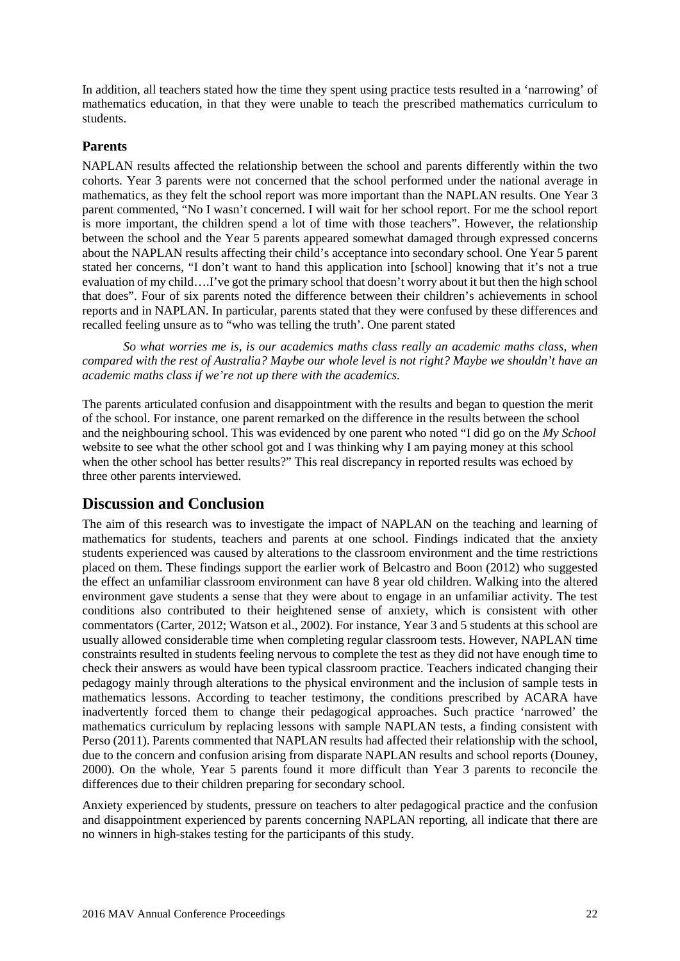In addition, all teachers stated how the time they spent using practice tests resulted in a 'narrowing' of mathematics education, in that they were unable to teach the prescribed mathematics curriculum to students.

#### **Parents**

NAPLAN results affected the relationship between the school and parents differently within the two cohorts. Year 3 parents were not concerned that the school performed under the national average in mathematics, as they felt the school report was more important than the NAPLAN results. One Year 3 parent commented, "No I wasn't concerned. I will wait for her school report. For me the school report is more important, the children spend a lot of time with those teachers". However, the relationship between the school and the Year 5 parents appeared somewhat damaged through expressed concerns about the NAPLAN results affecting their child's acceptance into secondary school. One Year 5 parent stated her concerns, "I don't want to hand this application into [school] knowing that it's not a true evaluation of my child….I've got the primary school that doesn't worry about it but then the high school that does". Four of six parents noted the difference between their children's achievements in school reports and in NAPLAN. In particular, parents stated that they were confused by these differences and recalled feeling unsure as to "who was telling the truth'. One parent stated

*So what worries me is, is our academics maths class really an academic maths class, when compared with the rest of Australia? Maybe our whole level is not right? Maybe we shouldn't have an academic maths class if we're not up there with the academics.*

The parents articulated confusion and disappointment with the results and began to question the merit of the school. For instance, one parent remarked on the difference in the results between the school and the neighbouring school. This was evidenced by one parent who noted "I did go on the *My School* website to see what the other school got and I was thinking why I am paying money at this school when the other school has better results?" This real discrepancy in reported results was echoed by three other parents interviewed.

#### **Discussion and Conclusion**

The aim of this research was to investigate the impact of NAPLAN on the teaching and learning of mathematics for students, teachers and parents at one school. Findings indicated that the anxiety students experienced was caused by alterations to the classroom environment and the time restrictions placed on them. These findings support the earlier work of Belcastro and Boon (2012) who suggested the effect an unfamiliar classroom environment can have 8 year old children. Walking into the altered environment gave students a sense that they were about to engage in an unfamiliar activity. The test conditions also contributed to their heightened sense of anxiety, which is consistent with other commentators (Carter, 2012; Watson et al., 2002). For instance, Year 3 and 5 students at this school are usually allowed considerable time when completing regular classroom tests. However, NAPLAN time constraints resulted in students feeling nervous to complete the test as they did not have enough time to check their answers as would have been typical classroom practice. Teachers indicated changing their pedagogy mainly through alterations to the physical environment and the inclusion of sample tests in mathematics lessons. According to teacher testimony, the conditions prescribed by ACARA have inadvertently forced them to change their pedagogical approaches. Such practice 'narrowed' the mathematics curriculum by replacing lessons with sample NAPLAN tests, a finding consistent with Perso (2011). Parents commented that NAPLAN results had affected their relationship with the school, due to the concern and confusion arising from disparate NAPLAN results and school reports (Douney, 2000). On the whole, Year 5 parents found it more difficult than Year 3 parents to reconcile the differences due to their children preparing for secondary school.

Anxiety experienced by students, pressure on teachers to alter pedagogical practice and the confusion and disappointment experienced by parents concerning NAPLAN reporting, all indicate that there are no winners in high-stakes testing for the participants of this study.